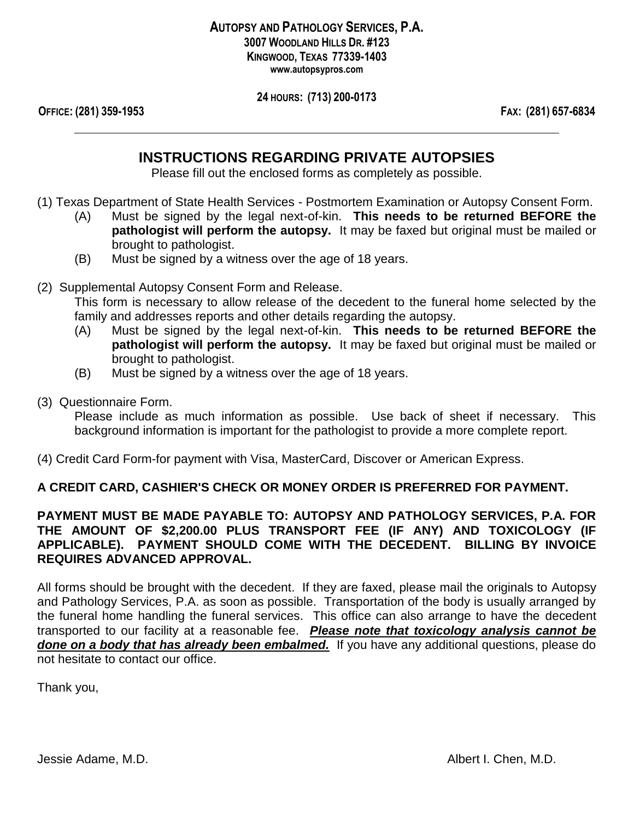**24 HOURS: (713) 200-0173**

**OFFICE: (281) 359-1953 FAX: (281) 657-6834**

# **INSTRUCTIONS REGARDING PRIVATE AUTOPSIES**

Please fill out the enclosed forms as completely as possible.

- (1) Texas Department of State Health Services Postmortem Examination or Autopsy Consent Form.
	- (A) Must be signed by the legal next-of-kin. **This needs to be returned BEFORE the pathologist will perform the autopsy.** It may be faxed but original must be mailed or brought to pathologist.
	- (B) Must be signed by a witness over the age of 18 years.
- (2) Supplemental Autopsy Consent Form and Release.

This form is necessary to allow release of the decedent to the funeral home selected by the family and addresses reports and other details regarding the autopsy.

- (A) Must be signed by the legal next-of-kin. **This needs to be returned BEFORE the pathologist will perform the autopsy.** It may be faxed but original must be mailed or brought to pathologist.
- (B) Must be signed by a witness over the age of 18 years.
- (3) Questionnaire Form.

Please include as much information as possible. Use back of sheet if necessary. This background information is important for the pathologist to provide a more complete report.

(4) Credit Card Form-for payment with Visa, MasterCard, Discover or American Express.

# **A CREDIT CARD, CASHIER'S CHECK OR MONEY ORDER IS PREFERRED FOR PAYMENT.**

### **PAYMENT MUST BE MADE PAYABLE TO: AUTOPSY AND PATHOLOGY SERVICES, P.A. FOR THE AMOUNT OF \$2,200.00 PLUS TRANSPORT FEE (IF ANY) AND TOXICOLOGY (IF APPLICABLE). PAYMENT SHOULD COME WITH THE DECEDENT. BILLING BY INVOICE REQUIRES ADVANCED APPROVAL.**

All forms should be brought with the decedent. If they are faxed, please mail the originals to Autopsy and Pathology Services, P.A. as soon as possible. Transportation of the body is usually arranged by the funeral home handling the funeral services. This office can also arrange to have the decedent transported to our facility at a reasonable fee. *Please note that toxicology analysis cannot be done on a body that has already been embalmed.* If you have any additional questions, please do not hesitate to contact our office.

Thank you,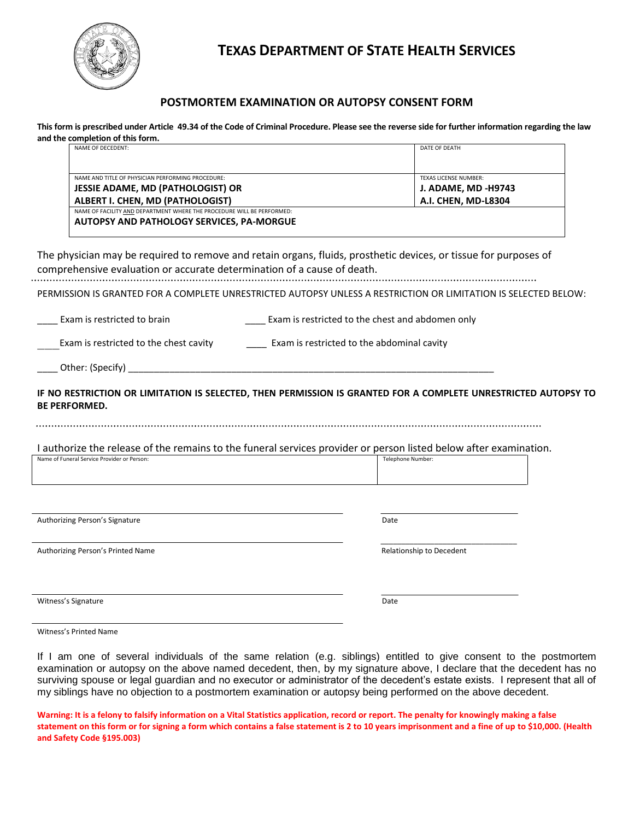

# **TEXAS DEPARTMENT OF STATE HEALTH SERVICES**

### **POSTMORTEM EXAMINATION OR AUTOPSY CONSENT FORM**

**This form is prescribed under Article 49.34 of the Code of Criminal Procedure. Please see the reverse side for further information regarding the law and the completion of this form.**

| NAME OF DECEDENT:                                                                                                                                                                           | DATE OF DEATH                                    |
|---------------------------------------------------------------------------------------------------------------------------------------------------------------------------------------------|--------------------------------------------------|
|                                                                                                                                                                                             |                                                  |
| NAME AND TITLE OF PHYSICIAN PERFORMING PROCEDURE:                                                                                                                                           | TEXAS LICENSE NUMBER:                            |
| JESSIE ADAME, MD (PATHOLOGIST) OR                                                                                                                                                           | <b>J. ADAME, MD -H9743</b>                       |
| <b>ALBERT I. CHEN, MD (PATHOLOGIST)</b>                                                                                                                                                     | A.I. CHEN, MD-L8304                              |
| NAME OF FACILITY AND DEPARTMENT WHERE THE PROCEDURE WILL BE PERFORMED:<br><b>AUTOPSY AND PATHOLOGY SERVICES, PA-MORGUE</b>                                                                  |                                                  |
|                                                                                                                                                                                             |                                                  |
| The physician may be required to remove and retain organs, fluids, prosthetic devices, or tissue for purposes of<br>comprehensive evaluation or accurate determination of a cause of death. |                                                  |
| PERMISSION IS GRANTED FOR A COMPLETE UNRESTRICTED AUTOPSY UNLESS A RESTRICTION OR LIMITATION IS SELECTED BELOW:                                                                             |                                                  |
| Exam is restricted to brain                                                                                                                                                                 | Exam is restricted to the chest and abdomen only |
| Exam is restricted to the chest cavity<br>_____ Exam is restricted to the abdominal cavity                                                                                                  |                                                  |
| Other: (Specify)                                                                                                                                                                            |                                                  |
| IF NO RESTRICTION OR LIMITATION IS SELECTED, THEN PERMISSION IS GRANTED FOR A COMPLETE UNRESTRICTED AUTOPSY TO<br><b>BE PERFORMED.</b>                                                      |                                                  |
|                                                                                                                                                                                             |                                                  |
| I authorize the release of the remains to the funeral services provider or person listed below after examination.                                                                           |                                                  |
| Name of Funeral Service Provider or Person:                                                                                                                                                 | Telephone Number:                                |
|                                                                                                                                                                                             |                                                  |
|                                                                                                                                                                                             |                                                  |
|                                                                                                                                                                                             |                                                  |
| Authorizing Person's Signature                                                                                                                                                              | Date                                             |
| Authorizing Person's Printed Name                                                                                                                                                           | Relationship to Decedent                         |
|                                                                                                                                                                                             |                                                  |
| Witness's Signature                                                                                                                                                                         | Date                                             |
|                                                                                                                                                                                             |                                                  |

Witness's Printed Name

If I am one of several individuals of the same relation (e.g. siblings) entitled to give consent to the postmortem examination or autopsy on the above named decedent, then, by my signature above, I declare that the decedent has no surviving spouse or legal guardian and no executor or administrator of the decedent's estate exists. I represent that all of my siblings have no objection to a postmortem examination or autopsy being performed on the above decedent.

**Warning: It is a felony to falsify information on a Vital Statistics application, record or report. The penalty for knowingly making a false statement on this form or for signing a form which contains a false statement is 2 to 10 years imprisonment and a fine of up to \$10,000. (Health and Safety Code §195.003)**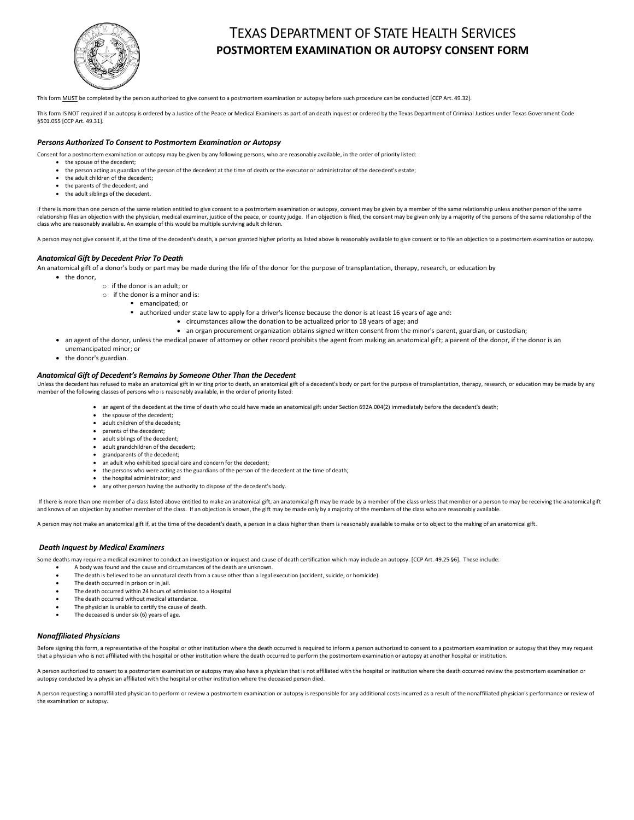

# TEXAS DEPARTMENT OF STATE HEALTH SERVICES **POSTMORTEM EXAMINATION OR AUTOPSY CONSENT FORM**

This form MUST be completed by the person authorized to give consent to a postmortem examination or autopsy before such procedure can be conducted [CCP Art. 49.32].

This form IS NOT required if an autopsy is ordered by a Justice of the Peace or Medical Examiners as part of an death inquest or ordered by the Texas Department of Criminal Justices under Texas Government Code §501.055 [CCP Art. 49.31].

#### *Persons Authorized To Consent to Postmortem Examination or Autopsy*

Consent for a postmortem examination or autopsy may be given by any following persons, who are reasonably available, in the order of priority listed:

- the spouse of the decedent;
- the person acting as guardian of the person of the decedent at the time of death or the executor or administrator of the decedent's estate;
- the adult children of the decedent;
- the parents of the decedent: and
- the adult siblings of the decedent.

If there is more than one person of the same relation entitled to give consent to a postmortem examination or autopsy, consent may be given by a member of the same relationship unless another person of the same relationship files an objection with the physician, medical examiner, justice of the peace, or county judge. If an objection is filed, the consent may be given only by a majority of the persons of the same relationship of class who are reasonably available. An example of this would be multiple surviving adult children.

A person may not give consent if, at the time of the decedent's death, a person granted higher priority as listed above is reasonably available to give consent or to file an objection to a postmortem examination or autopsy

#### *Anatomical Gift by Decedent Prior To Death*

An anatomical gift of a donor's body or part may be made during the life of the donor for the purpose of transplantation, therapy, research, or education by

- $\bullet$  the donor
	- o if the donor is an adult; or
		- o if the donor is a minor and is:
			- emancipated; or
				- authorized under state law to apply for a driver's license because the donor is at least 16 years of age and:
					- circumstances allow the donation to be actualized prior to 18 years of age; and
						- an organ procurement organization obtains signed written consent from the minor's parent, guardian, or custodian;
- an agent of the donor, unless the medical power of attorney or other record prohibits the agent from making an anatomical gift; a parent of the donor, if the donor is an
- unemancipated minor; or
- the donor's guardian.

#### *Anatomical Gift of Decedent's Remains by Someone Other Than the Decedent*

Unless the decedent has refused to make an anatomical gift in writing prior to death, an anatomical gift of a decedent's body or part for the purpose of transplantation, therapy, research, or education may be made by any<br>m

- an agent of the decedent at the time of death who could have made an anatomical gift under Section 692A.004(2) immediately before the decedent's death;
	- the spouse of the decedent;
	- adult children of the decedent;
	- parents of the decedent;
	- adult siblings of the decedent;
	- adult grandchildren of the decedent;
	- grandparents of the decedent;
	- an adult who exhibited special care and concern for the decedent;
	- the persons who were acting as the guardians of the person of the decedent at the time of death;
	- the hospital administrator; and
	- any other person having the authority to dispose of the decedent's body.

If there is more than one member of a class listed above entitled to make an anatomical gift, an anatomical gift may be made by a member of the class unless that member or a person to may be receiving the anatomical gift and knows of an objection by another member of the class. If an objection is known, the gift may be made only by a majority of the members of the class who are reasonably available.

A person may not make an anatomical gift if, at the time of the decedent's death, a person in a class higher than them is reasonably available to make or to object to the making of an anatomical gift.

#### *Death Inquest by Medical Examiners*

Some deaths may require a medical examiner to conduct an investigation or inquest and cause of death certification which may include an autopsy. [\[CCP Art. 49.25 §6\].](http://www.statutes.legis.state.tx.us/Docs/CR/htm/CR.49.htm#49.25) These include:

- A body was found and the cause and circumstances of the death are unknown.
- The death is believed to be an unnatural death from a cause other than a legal execution (accident, suicide, or homicide).
- The death occurred in prison or in jail.
- The death occurred within 24 hours of admission to a Hospital
- The death occurred without medical attendance.
- The physician is unable to certify the cause of death.
- The deceased is under six (6) years of age.

#### *Nonaffiliated Physicians*

Before signing this form, a representative of the hospital or other institution where the death occurred is required to inform a person authorized to consent to a postmortem examination or autopsy that they may request that a physician who is not affiliated with the hospital or other institution where the death occurred to perform the postmortem examination or autopsy at another hospital or institution.

A person authorized to consent to a postmortem examination or autopsy may also have a physician that is not affiliated with the hospital or institution where the death occurred review the postmortem examination or autopsy conducted by a physician affiliated with the hospital or other institution where the deceased person died.

A person requesting a nonaffiliated physician to perform or review a postmortem examination or autopsy is responsible for any additional costs incurred as a result of the nonaffiliated physician's performance or review of the examination or autopsy.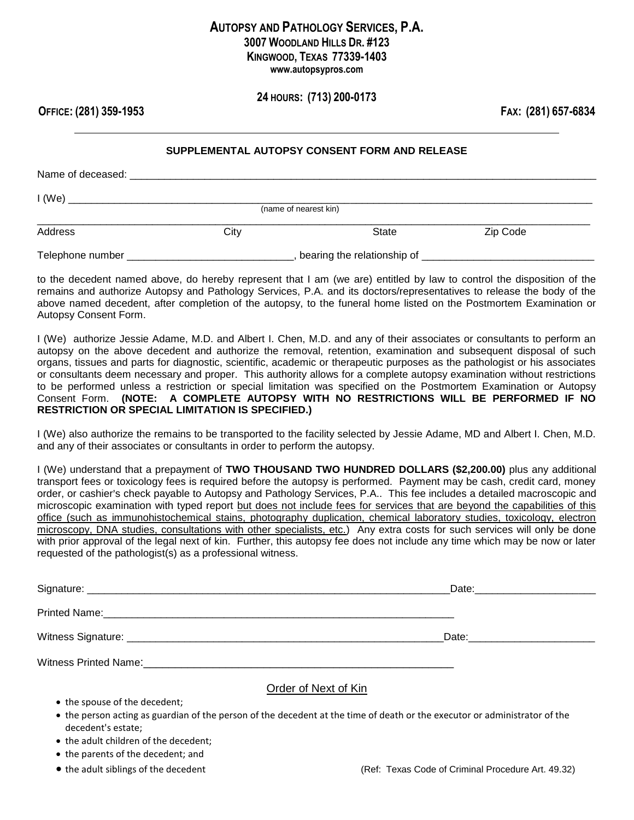**24 HOURS: (713) 200-0173**

**OFFICE: (281) 359-1953 FAX: (281) 657-6834**

### **SUPPLEMENTAL AUTOPSY CONSENT FORM AND RELEASE**

| Name of deceased:                                                                                                                |      |                             |          |  |  |
|----------------------------------------------------------------------------------------------------------------------------------|------|-----------------------------|----------|--|--|
| I(We)<br><u> 1980 - Jan Alexandro Alexandro Alexandro Alexandro Alexandro Alexandro Alexandro Alexandro Alexandro Alexandro </u> |      |                             |          |  |  |
| (name of nearest kin)                                                                                                            |      |                             |          |  |  |
| Address                                                                                                                          | City | <b>State</b>                | Zip Code |  |  |
| Telephone number                                                                                                                 |      | bearing the relationship of |          |  |  |

to the decedent named above, do hereby represent that I am (we are) entitled by law to control the disposition of the remains and authorize Autopsy and Pathology Services, P.A. and its doctors/representatives to release the body of the above named decedent, after completion of the autopsy, to the funeral home listed on the Postmortem Examination or Autopsy Consent Form.

I (We) authorize Jessie Adame, M.D. and Albert I. Chen, M.D. and any of their associates or consultants to perform an autopsy on the above decedent and authorize the removal, retention, examination and subsequent disposal of such organs, tissues and parts for diagnostic, scientific, academic or therapeutic purposes as the pathologist or his associates or consultants deem necessary and proper. This authority allows for a complete autopsy examination without restrictions to be performed unless a restriction or special limitation was specified on the Postmortem Examination or Autopsy Consent Form. **(NOTE: A COMPLETE AUTOPSY WITH NO RESTRICTIONS WILL BE PERFORMED IF NO RESTRICTION OR SPECIAL LIMITATION IS SPECIFIED.)**

I (We) also authorize the remains to be transported to the facility selected by Jessie Adame, MD and Albert I. Chen, M.D. and any of their associates or consultants in order to perform the autopsy.

I (We) understand that a prepayment of **TWO THOUSAND TWO HUNDRED DOLLARS (\$2,200.00)** plus any additional transport fees or toxicology fees is required before the autopsy is performed. Payment may be cash, credit card, money order, or cashier's check payable to Autopsy and Pathology Services, P.A.. This fee includes a detailed macroscopic and microscopic examination with typed report but does not include fees for services that are beyond the capabilities of this office (such as immunohistochemical stains, photography duplication, chemical laboratory studies, toxicology, electron microscopy, DNA studies, consultations with other specialists, etc.) Any extra costs for such services will only be done with prior approval of the legal next of kin. Further, this autopsy fee does not include any time which may be now or later requested of the pathologist(s) as a professional witness.

| Printed Name: 1990 and 2000 and 2000 and 2000 and 2000 and 2000 and 2000 and 2000 and 2000 and 2000 and 2000 and 2000 and 2000 and 2000 and 2000 and 2000 and 2000 and 2000 and 2000 and 2000 and 2000 and 2000 and 2000 and 2 |                                                                                                                                                    |
|--------------------------------------------------------------------------------------------------------------------------------------------------------------------------------------------------------------------------------|----------------------------------------------------------------------------------------------------------------------------------------------------|
|                                                                                                                                                                                                                                |                                                                                                                                                    |
|                                                                                                                                                                                                                                |                                                                                                                                                    |
| • the spouse of the decedent;<br>decedent's estate;                                                                                                                                                                            | Order of Next of Kin<br>• the person acting as guardian of the person of the decedent at the time of death or the executor or administrator of the |
| المستحلف والمستحلف المستلمات والمستحدث المنافس المنابي والمستحلف                                                                                                                                                               |                                                                                                                                                    |

- the adult children of the decedent;
- the parents of the decedent; and
-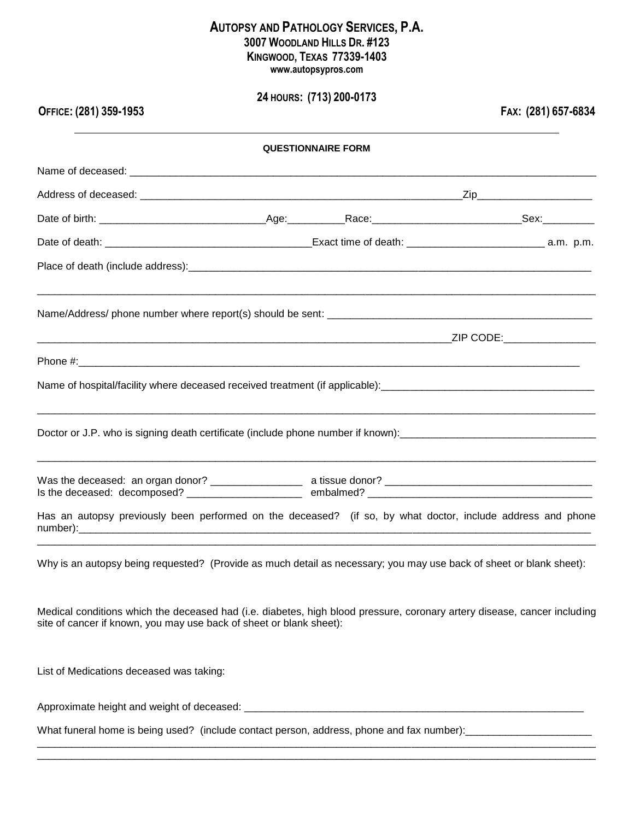| OFFICE: (281) 359-1953                                                                                                                                                                          | 24 HOURS: (713) 200-0173  | FAX: (281) 657-6834 |
|-------------------------------------------------------------------------------------------------------------------------------------------------------------------------------------------------|---------------------------|---------------------|
|                                                                                                                                                                                                 | <b>QUESTIONNAIRE FORM</b> |                     |
|                                                                                                                                                                                                 |                           |                     |
|                                                                                                                                                                                                 |                           |                     |
|                                                                                                                                                                                                 |                           |                     |
|                                                                                                                                                                                                 |                           |                     |
|                                                                                                                                                                                                 |                           |                     |
|                                                                                                                                                                                                 |                           |                     |
|                                                                                                                                                                                                 |                           |                     |
|                                                                                                                                                                                                 |                           |                     |
| Name of hospital/facility where deceased received treatment (if applicable): _________________________________                                                                                  |                           |                     |
| Doctor or J.P. who is signing death certificate (include phone number if known): _____________________________                                                                                  |                           |                     |
|                                                                                                                                                                                                 |                           |                     |
| Has an autopsy previously been performed on the deceased? (if so, by what doctor, include address and phone                                                                                     |                           |                     |
| Why is an autopsy being requested? (Provide as much detail as necessary; you may use back of sheet or blank sheet):                                                                             |                           |                     |
| Medical conditions which the deceased had (i.e. diabetes, high blood pressure, coronary artery disease, cancer including<br>site of cancer if known, you may use back of sheet or blank sheet): |                           |                     |
| List of Medications deceased was taking:                                                                                                                                                        |                           |                     |
|                                                                                                                                                                                                 |                           |                     |

What funeral home is being used? (include contact person, address, phone and fax number): \_\_\_\_\_\_\_\_\_\_\_\_\_\_\_\_\_\_\_\_

\_\_\_\_\_\_\_\_\_\_\_\_\_\_\_\_\_\_\_\_\_\_\_\_\_\_\_\_\_\_\_\_\_\_\_\_\_\_\_\_\_\_\_\_\_\_\_\_\_\_\_\_\_\_\_\_\_\_\_\_\_\_\_\_\_\_\_\_\_\_\_\_\_\_\_\_\_\_\_\_\_\_\_\_\_\_\_\_\_\_\_\_\_\_\_\_\_ \_\_\_\_\_\_\_\_\_\_\_\_\_\_\_\_\_\_\_\_\_\_\_\_\_\_\_\_\_\_\_\_\_\_\_\_\_\_\_\_\_\_\_\_\_\_\_\_\_\_\_\_\_\_\_\_\_\_\_\_\_\_\_\_\_\_\_\_\_\_\_\_\_\_\_\_\_\_\_\_\_\_\_\_\_\_\_\_\_\_\_\_\_\_\_\_\_